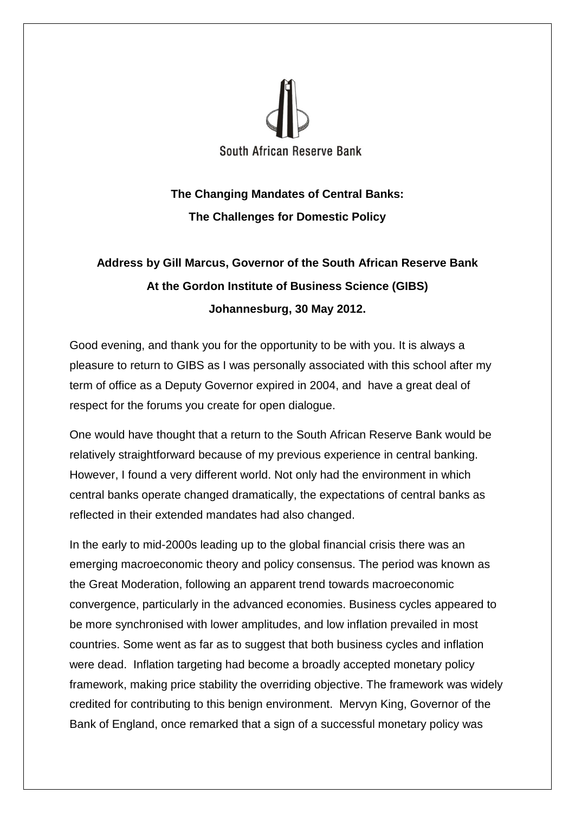

## **The Changing Mandates of Central Banks: The Challenges for Domestic Policy**

## **Address by Gill Marcus, Governor of the South African Reserve Bank At the Gordon Institute of Business Science (GIBS) Johannesburg, 30 May 2012.**

Good evening, and thank you for the opportunity to be with you. It is always a pleasure to return to GIBS as I was personally associated with this school after my term of office as a Deputy Governor expired in 2004, and have a great deal of respect for the forums you create for open dialogue.

One would have thought that a return to the South African Reserve Bank would be relatively straightforward because of my previous experience in central banking. However, I found a very different world. Not only had the environment in which central banks operate changed dramatically, the expectations of central banks as reflected in their extended mandates had also changed.

In the early to mid-2000s leading up to the global financial crisis there was an emerging macroeconomic theory and policy consensus. The period was known as the Great Moderation, following an apparent trend towards macroeconomic convergence, particularly in the advanced economies. Business cycles appeared to be more synchronised with lower amplitudes, and low inflation prevailed in most countries. Some went as far as to suggest that both business cycles and inflation were dead. Inflation targeting had become a broadly accepted monetary policy framework, making price stability the overriding objective. The framework was widely credited for contributing to this benign environment. Mervyn King, Governor of the Bank of England, once remarked that a sign of a successful monetary policy was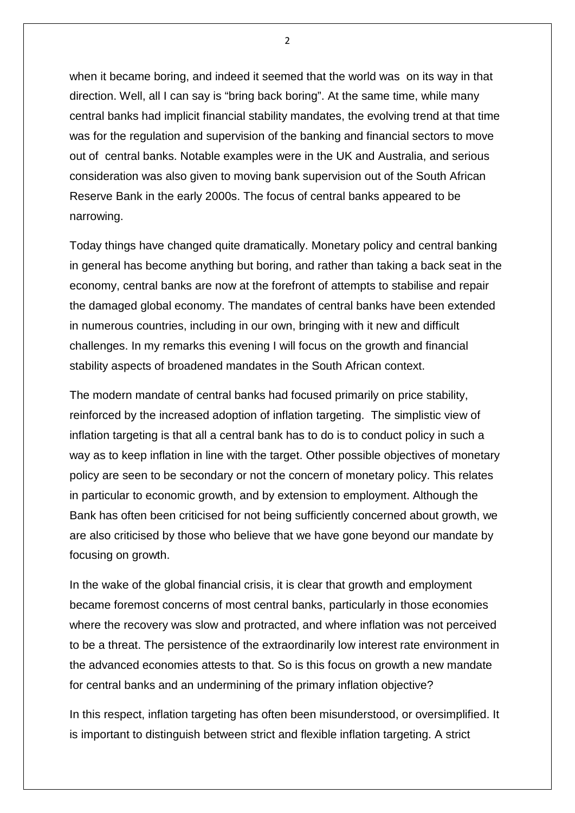when it became boring, and indeed it seemed that the world was on its way in that direction. Well, all I can say is "bring back boring". At the same time, while many central banks had implicit financial stability mandates, the evolving trend at that time was for the regulation and supervision of the banking and financial sectors to move out of central banks. Notable examples were in the UK and Australia, and serious consideration was also given to moving bank supervision out of the South African Reserve Bank in the early 2000s. The focus of central banks appeared to be narrowing.

Today things have changed quite dramatically. Monetary policy and central banking in general has become anything but boring, and rather than taking a back seat in the economy, central banks are now at the forefront of attempts to stabilise and repair the damaged global economy. The mandates of central banks have been extended in numerous countries, including in our own, bringing with it new and difficult challenges. In my remarks this evening I will focus on the growth and financial stability aspects of broadened mandates in the South African context.

The modern mandate of central banks had focused primarily on price stability, reinforced by the increased adoption of inflation targeting. The simplistic view of inflation targeting is that all a central bank has to do is to conduct policy in such a way as to keep inflation in line with the target. Other possible objectives of monetary policy are seen to be secondary or not the concern of monetary policy. This relates in particular to economic growth, and by extension to employment. Although the Bank has often been criticised for not being sufficiently concerned about growth, we are also criticised by those who believe that we have gone beyond our mandate by focusing on growth.

In the wake of the global financial crisis, it is clear that growth and employment became foremost concerns of most central banks, particularly in those economies where the recovery was slow and protracted, and where inflation was not perceived to be a threat. The persistence of the extraordinarily low interest rate environment in the advanced economies attests to that. So is this focus on growth a new mandate for central banks and an undermining of the primary inflation objective?

In this respect, inflation targeting has often been misunderstood, or oversimplified. It is important to distinguish between strict and flexible inflation targeting. A strict

 $\overline{2}$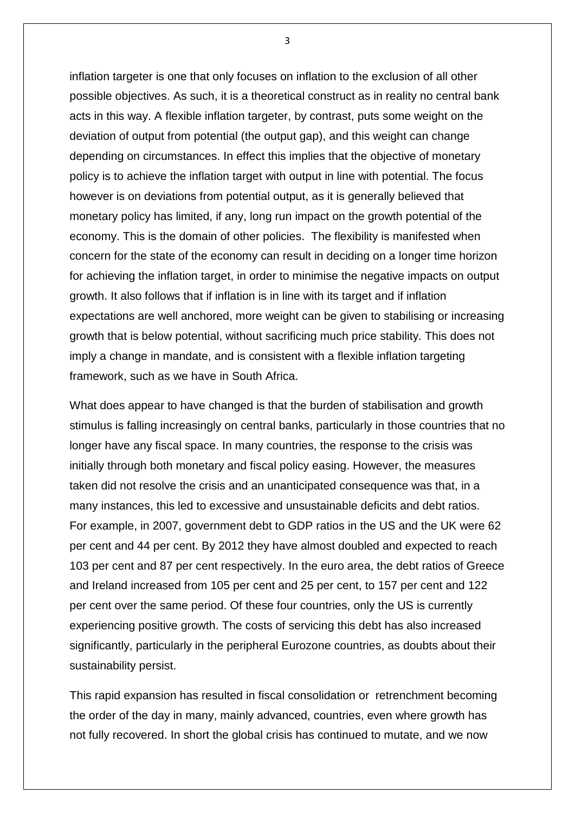inflation targeter is one that only focuses on inflation to the exclusion of all other possible objectives. As such, it is a theoretical construct as in reality no central bank acts in this way. A flexible inflation targeter, by contrast, puts some weight on the deviation of output from potential (the output gap), and this weight can change depending on circumstances. In effect this implies that the objective of monetary policy is to achieve the inflation target with output in line with potential. The focus however is on deviations from potential output, as it is generally believed that monetary policy has limited, if any, long run impact on the growth potential of the economy. This is the domain of other policies. The flexibility is manifested when concern for the state of the economy can result in deciding on a longer time horizon for achieving the inflation target, in order to minimise the negative impacts on output growth. It also follows that if inflation is in line with its target and if inflation expectations are well anchored, more weight can be given to stabilising or increasing growth that is below potential, without sacrificing much price stability. This does not imply a change in mandate, and is consistent with a flexible inflation targeting framework, such as we have in South Africa.

What does appear to have changed is that the burden of stabilisation and growth stimulus is falling increasingly on central banks, particularly in those countries that no longer have any fiscal space. In many countries, the response to the crisis was initially through both monetary and fiscal policy easing. However, the measures taken did not resolve the crisis and an unanticipated consequence was that, in a many instances, this led to excessive and unsustainable deficits and debt ratios. For example, in 2007, government debt to GDP ratios in the US and the UK were 62 per cent and 44 per cent. By 2012 they have almost doubled and expected to reach 103 per cent and 87 per cent respectively. In the euro area, the debt ratios of Greece and Ireland increased from 105 per cent and 25 per cent, to 157 per cent and 122 per cent over the same period. Of these four countries, only the US is currently experiencing positive growth. The costs of servicing this debt has also increased significantly, particularly in the peripheral Eurozone countries, as doubts about their sustainability persist.

This rapid expansion has resulted in fiscal consolidation or retrenchment becoming the order of the day in many, mainly advanced, countries, even where growth has not fully recovered. In short the global crisis has continued to mutate, and we now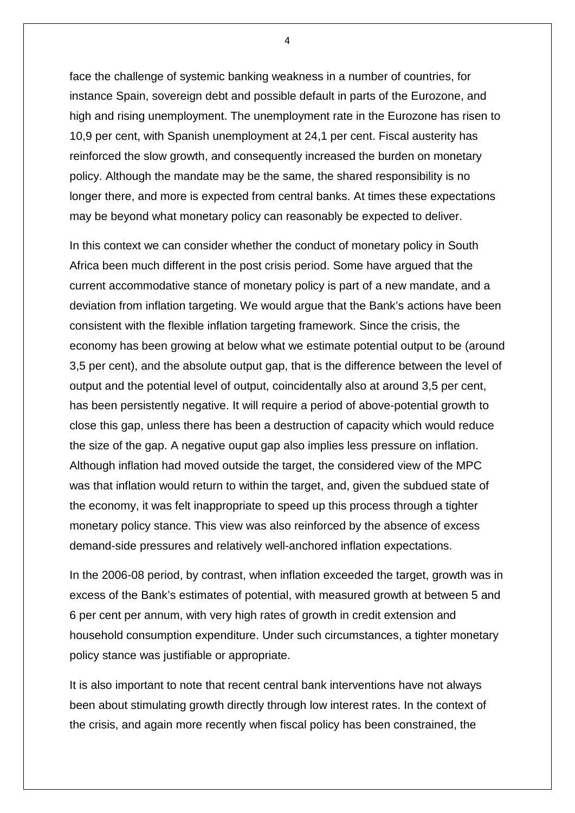face the challenge of systemic banking weakness in a number of countries, for instance Spain, sovereign debt and possible default in parts of the Eurozone, and high and rising unemployment. The unemployment rate in the Eurozone has risen to 10,9 per cent, with Spanish unemployment at 24,1 per cent. Fiscal austerity has reinforced the slow growth, and consequently increased the burden on monetary policy. Although the mandate may be the same, the shared responsibility is no longer there, and more is expected from central banks. At times these expectations may be beyond what monetary policy can reasonably be expected to deliver.

In this context we can consider whether the conduct of monetary policy in South Africa been much different in the post crisis period. Some have argued that the current accommodative stance of monetary policy is part of a new mandate, and a deviation from inflation targeting. We would argue that the Bank's actions have been consistent with the flexible inflation targeting framework. Since the crisis, the economy has been growing at below what we estimate potential output to be (around 3,5 per cent), and the absolute output gap, that is the difference between the level of output and the potential level of output, coincidentally also at around 3,5 per cent, has been persistently negative. It will require a period of above-potential growth to close this gap, unless there has been a destruction of capacity which would reduce the size of the gap. A negative ouput gap also implies less pressure on inflation. Although inflation had moved outside the target, the considered view of the MPC was that inflation would return to within the target, and, given the subdued state of the economy, it was felt inappropriate to speed up this process through a tighter monetary policy stance. This view was also reinforced by the absence of excess demand-side pressures and relatively well-anchored inflation expectations.

In the 2006-08 period, by contrast, when inflation exceeded the target, growth was in excess of the Bank's estimates of potential, with measured growth at between 5 and 6 per cent per annum, with very high rates of growth in credit extension and household consumption expenditure. Under such circumstances, a tighter monetary policy stance was justifiable or appropriate.

It is also important to note that recent central bank interventions have not always been about stimulating growth directly through low interest rates. In the context of the crisis, and again more recently when fiscal policy has been constrained, the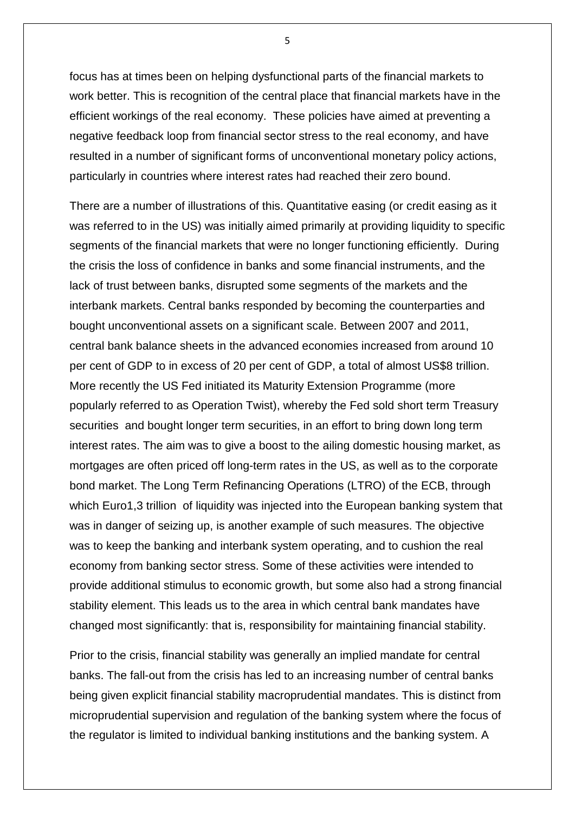focus has at times been on helping dysfunctional parts of the financial markets to work better. This is recognition of the central place that financial markets have in the efficient workings of the real economy. These policies have aimed at preventing a negative feedback loop from financial sector stress to the real economy, and have resulted in a number of significant forms of unconventional monetary policy actions, particularly in countries where interest rates had reached their zero bound.

There are a number of illustrations of this. Quantitative easing (or credit easing as it was referred to in the US) was initially aimed primarily at providing liquidity to specific segments of the financial markets that were no longer functioning efficiently. During the crisis the loss of confidence in banks and some financial instruments, and the lack of trust between banks, disrupted some segments of the markets and the interbank markets. Central banks responded by becoming the counterparties and bought unconventional assets on a significant scale. Between 2007 and 2011, central bank balance sheets in the advanced economies increased from around 10 per cent of GDP to in excess of 20 per cent of GDP, a total of almost US\$8 trillion. More recently the US Fed initiated its Maturity Extension Programme (more popularly referred to as Operation Twist), whereby the Fed sold short term Treasury securities and bought longer term securities, in an effort to bring down long term interest rates. The aim was to give a boost to the ailing domestic housing market, as mortgages are often priced off long-term rates in the US, as well as to the corporate bond market. The Long Term Refinancing Operations (LTRO) of the ECB, through which Euro1,3 trillion of liquidity was injected into the European banking system that was in danger of seizing up, is another example of such measures. The objective was to keep the banking and interbank system operating, and to cushion the real economy from banking sector stress. Some of these activities were intended to provide additional stimulus to economic growth, but some also had a strong financial stability element. This leads us to the area in which central bank mandates have changed most significantly: that is, responsibility for maintaining financial stability.

Prior to the crisis, financial stability was generally an implied mandate for central banks. The fall-out from the crisis has led to an increasing number of central banks being given explicit financial stability macroprudential mandates. This is distinct from microprudential supervision and regulation of the banking system where the focus of the regulator is limited to individual banking institutions and the banking system. A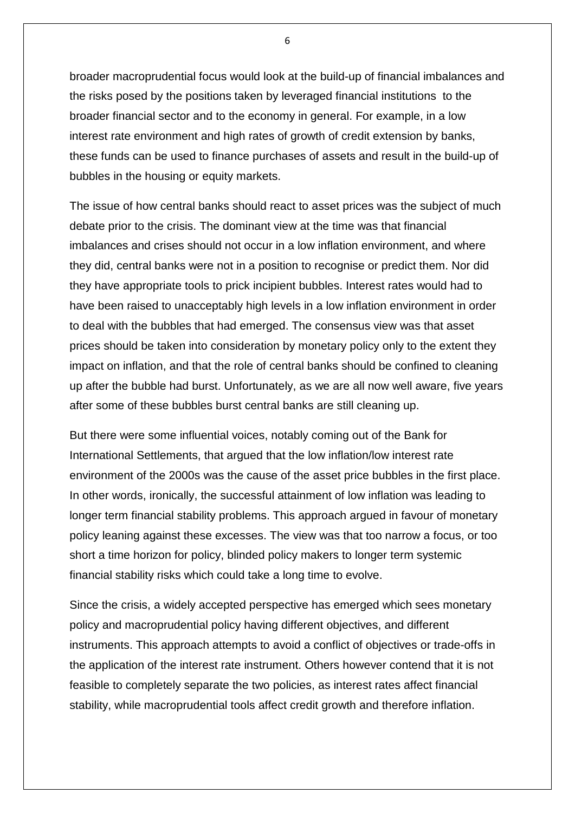broader macroprudential focus would look at the build-up of financial imbalances and the risks posed by the positions taken by leveraged financial institutions to the broader financial sector and to the economy in general. For example, in a low interest rate environment and high rates of growth of credit extension by banks, these funds can be used to finance purchases of assets and result in the build-up of bubbles in the housing or equity markets.

The issue of how central banks should react to asset prices was the subject of much debate prior to the crisis. The dominant view at the time was that financial imbalances and crises should not occur in a low inflation environment, and where they did, central banks were not in a position to recognise or predict them. Nor did they have appropriate tools to prick incipient bubbles. Interest rates would had to have been raised to unacceptably high levels in a low inflation environment in order to deal with the bubbles that had emerged. The consensus view was that asset prices should be taken into consideration by monetary policy only to the extent they impact on inflation, and that the role of central banks should be confined to cleaning up after the bubble had burst. Unfortunately, as we are all now well aware, five years after some of these bubbles burst central banks are still cleaning up.

But there were some influential voices, notably coming out of the Bank for International Settlements, that argued that the low inflation/low interest rate environment of the 2000s was the cause of the asset price bubbles in the first place. In other words, ironically, the successful attainment of low inflation was leading to longer term financial stability problems. This approach argued in favour of monetary policy leaning against these excesses. The view was that too narrow a focus, or too short a time horizon for policy, blinded policy makers to longer term systemic financial stability risks which could take a long time to evolve.

Since the crisis, a widely accepted perspective has emerged which sees monetary policy and macroprudential policy having different objectives, and different instruments. This approach attempts to avoid a conflict of objectives or trade-offs in the application of the interest rate instrument. Others however contend that it is not feasible to completely separate the two policies, as interest rates affect financial stability, while macroprudential tools affect credit growth and therefore inflation.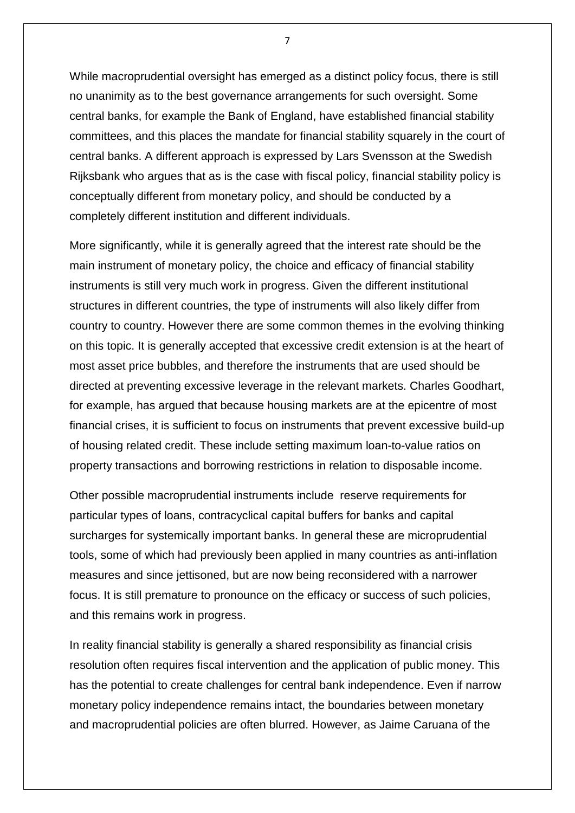While macroprudential oversight has emerged as a distinct policy focus, there is still no unanimity as to the best governance arrangements for such oversight. Some central banks, for example the Bank of England, have established financial stability committees, and this places the mandate for financial stability squarely in the court of central banks. A different approach is expressed by Lars Svensson at the Swedish Rijksbank who argues that as is the case with fiscal policy, financial stability policy is conceptually different from monetary policy, and should be conducted by a completely different institution and different individuals.

More significantly, while it is generally agreed that the interest rate should be the main instrument of monetary policy, the choice and efficacy of financial stability instruments is still very much work in progress. Given the different institutional structures in different countries, the type of instruments will also likely differ from country to country. However there are some common themes in the evolving thinking on this topic. It is generally accepted that excessive credit extension is at the heart of most asset price bubbles, and therefore the instruments that are used should be directed at preventing excessive leverage in the relevant markets. Charles Goodhart, for example, has argued that because housing markets are at the epicentre of most financial crises, it is sufficient to focus on instruments that prevent excessive build-up of housing related credit. These include setting maximum loan-to-value ratios on property transactions and borrowing restrictions in relation to disposable income.

Other possible macroprudential instruments include reserve requirements for particular types of loans, contracyclical capital buffers for banks and capital surcharges for systemically important banks. In general these are microprudential tools, some of which had previously been applied in many countries as anti-inflation measures and since jettisoned, but are now being reconsidered with a narrower focus. It is still premature to pronounce on the efficacy or success of such policies, and this remains work in progress.

In reality financial stability is generally a shared responsibility as financial crisis resolution often requires fiscal intervention and the application of public money. This has the potential to create challenges for central bank independence. Even if narrow monetary policy independence remains intact, the boundaries between monetary and macroprudential policies are often blurred. However, as Jaime Caruana of the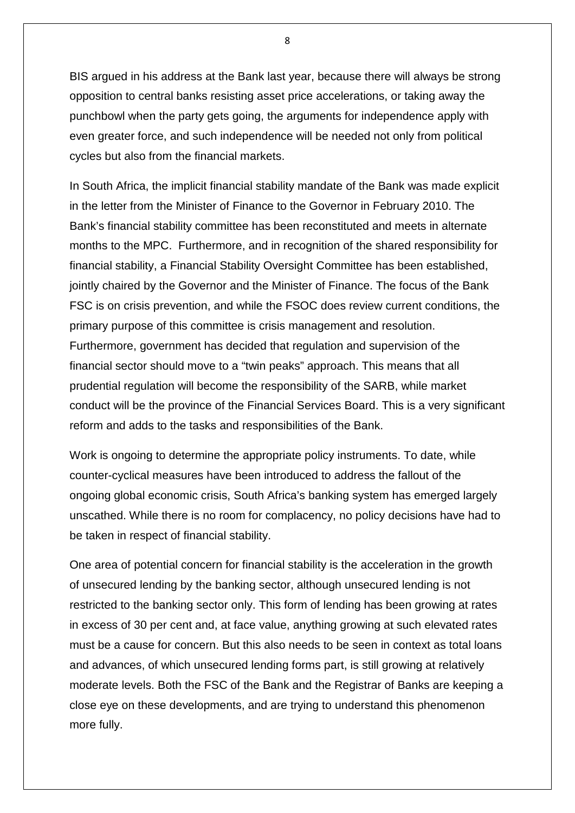BIS argued in his address at the Bank last year, because there will always be strong opposition to central banks resisting asset price accelerations, or taking away the punchbowl when the party gets going, the arguments for independence apply with even greater force, and such independence will be needed not only from political cycles but also from the financial markets.

In South Africa, the implicit financial stability mandate of the Bank was made explicit in the letter from the Minister of Finance to the Governor in February 2010. The Bank's financial stability committee has been reconstituted and meets in alternate months to the MPC. Furthermore, and in recognition of the shared responsibility for financial stability, a Financial Stability Oversight Committee has been established, jointly chaired by the Governor and the Minister of Finance. The focus of the Bank FSC is on crisis prevention, and while the FSOC does review current conditions, the primary purpose of this committee is crisis management and resolution. Furthermore, government has decided that regulation and supervision of the financial sector should move to a "twin peaks" approach. This means that all prudential regulation will become the responsibility of the SARB, while market conduct will be the province of the Financial Services Board. This is a very significant reform and adds to the tasks and responsibilities of the Bank.

Work is ongoing to determine the appropriate policy instruments. To date, while counter-cyclical measures have been introduced to address the fallout of the ongoing global economic crisis, South Africa's banking system has emerged largely unscathed. While there is no room for complacency, no policy decisions have had to be taken in respect of financial stability.

One area of potential concern for financial stability is the acceleration in the growth of unsecured lending by the banking sector, although unsecured lending is not restricted to the banking sector only. This form of lending has been growing at rates in excess of 30 per cent and, at face value, anything growing at such elevated rates must be a cause for concern. But this also needs to be seen in context as total loans and advances, of which unsecured lending forms part, is still growing at relatively moderate levels. Both the FSC of the Bank and the Registrar of Banks are keeping a close eye on these developments, and are trying to understand this phenomenon more fully.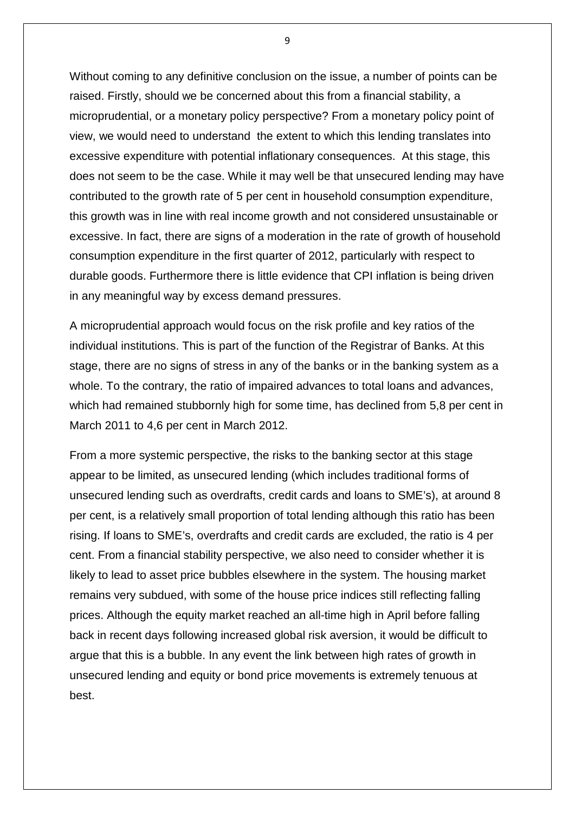Without coming to any definitive conclusion on the issue, a number of points can be raised. Firstly, should we be concerned about this from a financial stability, a microprudential, or a monetary policy perspective? From a monetary policy point of view, we would need to understand the extent to which this lending translates into excessive expenditure with potential inflationary consequences. At this stage, this does not seem to be the case. While it may well be that unsecured lending may have contributed to the growth rate of 5 per cent in household consumption expenditure, this growth was in line with real income growth and not considered unsustainable or excessive. In fact, there are signs of a moderation in the rate of growth of household consumption expenditure in the first quarter of 2012, particularly with respect to durable goods. Furthermore there is little evidence that CPI inflation is being driven in any meaningful way by excess demand pressures.

A microprudential approach would focus on the risk profile and key ratios of the individual institutions. This is part of the function of the Registrar of Banks. At this stage, there are no signs of stress in any of the banks or in the banking system as a whole. To the contrary, the ratio of impaired advances to total loans and advances, which had remained stubbornly high for some time, has declined from 5,8 per cent in March 2011 to 4,6 per cent in March 2012.

From a more systemic perspective, the risks to the banking sector at this stage appear to be limited, as unsecured lending (which includes traditional forms of unsecured lending such as overdrafts, credit cards and loans to SME's), at around 8 per cent, is a relatively small proportion of total lending although this ratio has been rising. If loans to SME's, overdrafts and credit cards are excluded, the ratio is 4 per cent. From a financial stability perspective, we also need to consider whether it is likely to lead to asset price bubbles elsewhere in the system. The housing market remains very subdued, with some of the house price indices still reflecting falling prices. Although the equity market reached an all-time high in April before falling back in recent days following increased global risk aversion, it would be difficult to argue that this is a bubble. In any event the link between high rates of growth in unsecured lending and equity or bond price movements is extremely tenuous at best.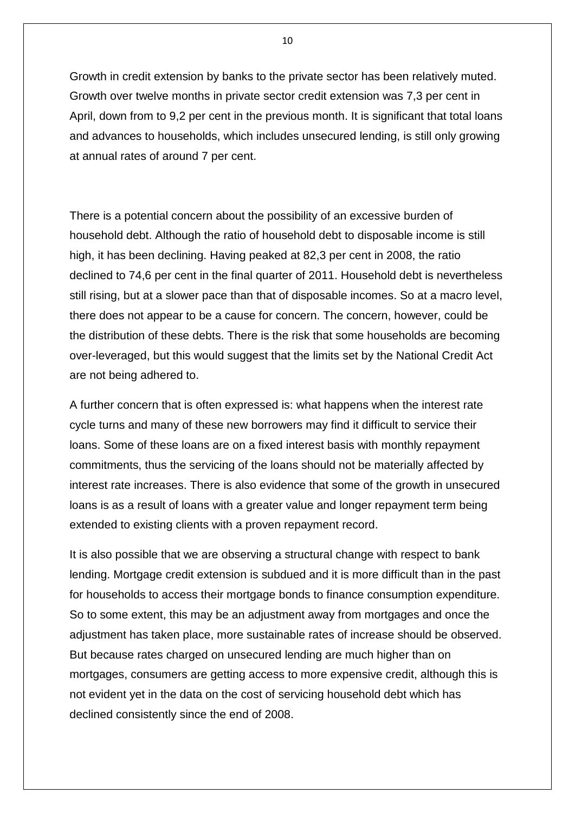Growth in credit extension by banks to the private sector has been relatively muted. Growth over twelve months in private sector credit extension was 7,3 per cent in April, down from to 9,2 per cent in the previous month. It is significant that total loans and advances to households, which includes unsecured lending, is still only growing at annual rates of around 7 per cent.

There is a potential concern about the possibility of an excessive burden of household debt. Although the ratio of household debt to disposable income is still high, it has been declining. Having peaked at 82,3 per cent in 2008, the ratio declined to 74,6 per cent in the final quarter of 2011. Household debt is nevertheless still rising, but at a slower pace than that of disposable incomes. So at a macro level, there does not appear to be a cause for concern. The concern, however, could be the distribution of these debts. There is the risk that some households are becoming over-leveraged, but this would suggest that the limits set by the National Credit Act are not being adhered to.

A further concern that is often expressed is: what happens when the interest rate cycle turns and many of these new borrowers may find it difficult to service their loans. Some of these loans are on a fixed interest basis with monthly repayment commitments, thus the servicing of the loans should not be materially affected by interest rate increases. There is also evidence that some of the growth in unsecured loans is as a result of loans with a greater value and longer repayment term being extended to existing clients with a proven repayment record.

It is also possible that we are observing a structural change with respect to bank lending. Mortgage credit extension is subdued and it is more difficult than in the past for households to access their mortgage bonds to finance consumption expenditure. So to some extent, this may be an adjustment away from mortgages and once the adjustment has taken place, more sustainable rates of increase should be observed. But because rates charged on unsecured lending are much higher than on mortgages, consumers are getting access to more expensive credit, although this is not evident yet in the data on the cost of servicing household debt which has declined consistently since the end of 2008.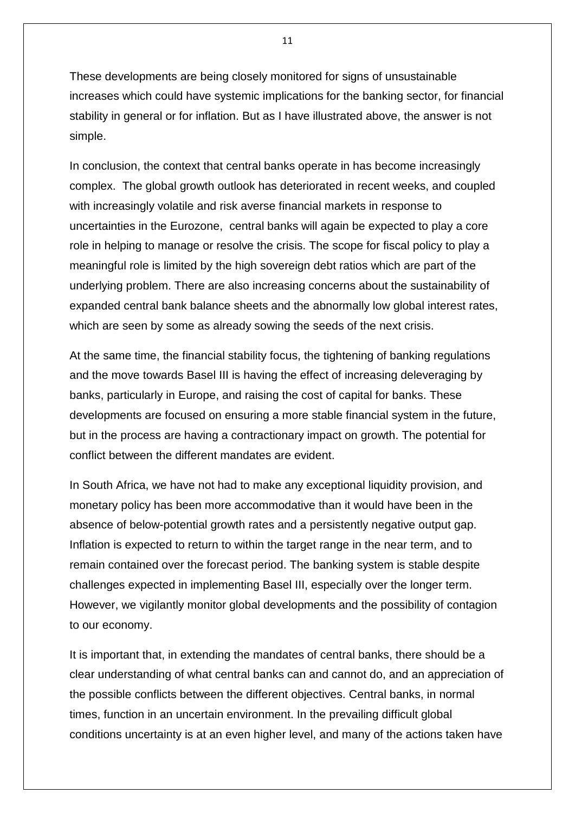These developments are being closely monitored for signs of unsustainable increases which could have systemic implications for the banking sector, for financial stability in general or for inflation. But as I have illustrated above, the answer is not simple.

In conclusion, the context that central banks operate in has become increasingly complex. The global growth outlook has deteriorated in recent weeks, and coupled with increasingly volatile and risk averse financial markets in response to uncertainties in the Eurozone, central banks will again be expected to play a core role in helping to manage or resolve the crisis. The scope for fiscal policy to play a meaningful role is limited by the high sovereign debt ratios which are part of the underlying problem. There are also increasing concerns about the sustainability of expanded central bank balance sheets and the abnormally low global interest rates, which are seen by some as already sowing the seeds of the next crisis.

At the same time, the financial stability focus, the tightening of banking regulations and the move towards Basel III is having the effect of increasing deleveraging by banks, particularly in Europe, and raising the cost of capital for banks. These developments are focused on ensuring a more stable financial system in the future, but in the process are having a contractionary impact on growth. The potential for conflict between the different mandates are evident.

In South Africa, we have not had to make any exceptional liquidity provision, and monetary policy has been more accommodative than it would have been in the absence of below-potential growth rates and a persistently negative output gap. Inflation is expected to return to within the target range in the near term, and to remain contained over the forecast period. The banking system is stable despite challenges expected in implementing Basel III, especially over the longer term. However, we vigilantly monitor global developments and the possibility of contagion to our economy.

It is important that, in extending the mandates of central banks, there should be a clear understanding of what central banks can and cannot do, and an appreciation of the possible conflicts between the different objectives. Central banks, in normal times, function in an uncertain environment. In the prevailing difficult global conditions uncertainty is at an even higher level, and many of the actions taken have